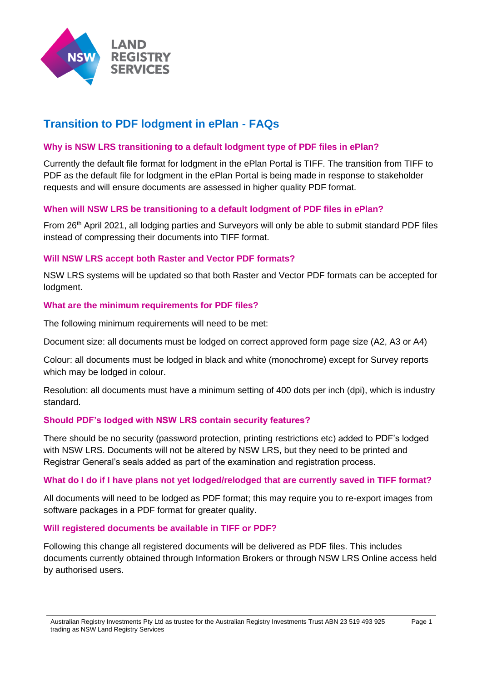

# **Transition to PDF lodgment in ePlan - FAQs**

### **Why is NSW LRS transitioning to a default lodgment type of PDF files in ePlan?**

Currently the default file format for lodgment in the ePlan Portal is TIFF. The transition from TIFF to PDF as the default file for lodgment in the ePlan Portal is being made in response to stakeholder requests and will ensure documents are assessed in higher quality PDF format.

#### **When will NSW LRS be transitioning to a default lodgment of PDF files in ePlan?**

From 26th April 2021, all lodging parties and Surveyors will only be able to submit standard PDF files instead of compressing their documents into TIFF format.

## **Will NSW LRS accept both Raster and Vector PDF formats?**

NSW LRS systems will be updated so that both Raster and Vector PDF formats can be accepted for lodgment.

#### **What are the minimum requirements for PDF files?**

The following minimum requirements will need to be met:

Document size: all documents must be lodged on correct approved form page size (A2, A3 or A4)

Colour: all documents must be lodged in black and white (monochrome) except for Survey reports which may be lodged in colour.

Resolution: all documents must have a minimum setting of 400 dots per inch (dpi), which is industry standard.

#### **Should PDF's lodged with NSW LRS contain security features?**

There should be no security (password protection, printing restrictions etc) added to PDF's lodged with NSW LRS. Documents will not be altered by NSW LRS, but they need to be printed and Registrar General's seals added as part of the examination and registration process.

#### **What do I do if I have plans not yet lodged/relodged that are currently saved in TIFF format?**

All documents will need to be lodged as PDF format; this may require you to re-export images from software packages in a PDF format for greater quality.

#### **Will registered documents be available in TIFF or PDF?**

Following this change all registered documents will be delivered as PDF files. This includes documents currently obtained through Information Brokers or through NSW LRS Online access held by authorised users.